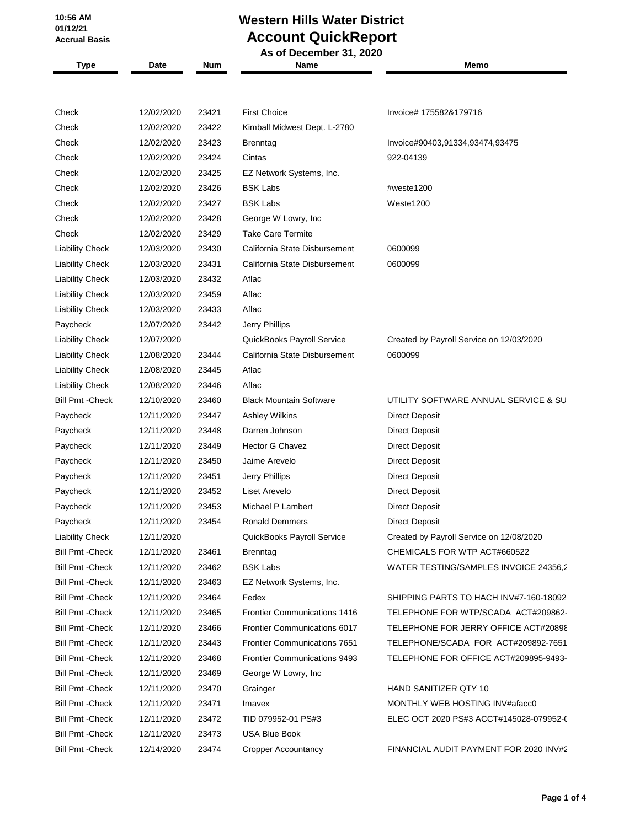**10:56 AM 01/12/21 Accrual Basis**

## **Western Hills Water District Account QuickReport**

|                         |            |       | As of December 31, 2020             |                                          |  |
|-------------------------|------------|-------|-------------------------------------|------------------------------------------|--|
| <b>Type</b>             | Date       | Num   | Name                                | Memo                                     |  |
|                         |            |       |                                     |                                          |  |
| Check                   | 12/02/2020 | 23421 | <b>First Choice</b>                 | Invoice# 175582&179716                   |  |
| Check                   | 12/02/2020 | 23422 | Kimball Midwest Dept. L-2780        |                                          |  |
| Check                   | 12/02/2020 | 23423 | <b>Brenntag</b>                     | Invoice#90403,91334,93474,93475          |  |
| Check                   | 12/02/2020 | 23424 | Cintas                              | 922-04139                                |  |
| Check                   | 12/02/2020 | 23425 | EZ Network Systems, Inc.            |                                          |  |
| Check                   | 12/02/2020 | 23426 | <b>BSK Labs</b>                     | #weste1200                               |  |
| Check                   | 12/02/2020 | 23427 | <b>BSK Labs</b>                     | Weste1200                                |  |
| Check                   | 12/02/2020 | 23428 | George W Lowry, Inc                 |                                          |  |
| Check                   | 12/02/2020 | 23429 | <b>Take Care Termite</b>            |                                          |  |
| <b>Liability Check</b>  | 12/03/2020 | 23430 | California State Disbursement       | 0600099                                  |  |
| <b>Liability Check</b>  | 12/03/2020 | 23431 | California State Disbursement       | 0600099                                  |  |
| <b>Liability Check</b>  | 12/03/2020 | 23432 | Aflac                               |                                          |  |
| <b>Liability Check</b>  | 12/03/2020 | 23459 | Aflac                               |                                          |  |
| <b>Liability Check</b>  | 12/03/2020 | 23433 | Aflac                               |                                          |  |
| Paycheck                | 12/07/2020 | 23442 | Jerry Phillips                      |                                          |  |
| <b>Liability Check</b>  | 12/07/2020 |       | QuickBooks Payroll Service          | Created by Payroll Service on 12/03/2020 |  |
| <b>Liability Check</b>  | 12/08/2020 | 23444 | California State Disbursement       | 0600099                                  |  |
| <b>Liability Check</b>  | 12/08/2020 | 23445 | Aflac                               |                                          |  |
| <b>Liability Check</b>  | 12/08/2020 | 23446 | Aflac                               |                                          |  |
| <b>Bill Pmt - Check</b> | 12/10/2020 | 23460 | <b>Black Mountain Software</b>      | UTILITY SOFTWARE ANNUAL SERVICE & SU     |  |
| Paycheck                | 12/11/2020 | 23447 | <b>Ashley Wilkins</b>               | <b>Direct Deposit</b>                    |  |
| Paycheck                | 12/11/2020 | 23448 | Darren Johnson                      | <b>Direct Deposit</b>                    |  |
| Paycheck                | 12/11/2020 | 23449 | Hector G Chavez                     | <b>Direct Deposit</b>                    |  |
| Paycheck                | 12/11/2020 | 23450 | Jaime Arevelo                       | <b>Direct Deposit</b>                    |  |
| Paycheck                | 12/11/2020 | 23451 | Jerry Phillips                      | <b>Direct Deposit</b>                    |  |
| Paycheck                | 12/11/2020 | 23452 | Liset Arevelo                       | <b>Direct Deposit</b>                    |  |
| Paycheck                | 12/11/2020 | 23453 | Michael P Lambert                   | <b>Direct Deposit</b>                    |  |
| Paycheck                | 12/11/2020 | 23454 | <b>Ronald Demmers</b>               | <b>Direct Deposit</b>                    |  |
| <b>Liability Check</b>  | 12/11/2020 |       | QuickBooks Payroll Service          | Created by Payroll Service on 12/08/2020 |  |
| <b>Bill Pmt - Check</b> | 12/11/2020 | 23461 | Brenntag                            | CHEMICALS FOR WTP ACT#660522             |  |
| <b>Bill Pmt - Check</b> | 12/11/2020 | 23462 | <b>BSK Labs</b>                     | WATER TESTING/SAMPLES INVOICE 24356,2    |  |
| <b>Bill Pmt - Check</b> | 12/11/2020 | 23463 | EZ Network Systems, Inc.            |                                          |  |
| <b>Bill Pmt - Check</b> | 12/11/2020 | 23464 | Fedex                               | SHIPPING PARTS TO HACH INV#7-160-18092   |  |
| Bill Pmt - Check        | 12/11/2020 | 23465 | <b>Frontier Communications 1416</b> | TELEPHONE FOR WTP/SCADA ACT#209862-      |  |
| <b>Bill Pmt - Check</b> | 12/11/2020 | 23466 | <b>Frontier Communications 6017</b> | TELEPHONE FOR JERRY OFFICE ACT#20898     |  |
| <b>Bill Pmt - Check</b> | 12/11/2020 | 23443 | Frontier Communications 7651        | TELEPHONE/SCADA FOR ACT#209892-7651      |  |
| <b>Bill Pmt - Check</b> | 12/11/2020 | 23468 | <b>Frontier Communications 9493</b> | TELEPHONE FOR OFFICE ACT#209895-9493-    |  |
| <b>Bill Pmt - Check</b> | 12/11/2020 | 23469 | George W Lowry, Inc                 |                                          |  |
| Bill Pmt - Check        | 12/11/2020 | 23470 | Grainger                            | HAND SANITIZER QTY 10                    |  |
| <b>Bill Pmt - Check</b> | 12/11/2020 | 23471 | Imavex                              | MONTHLY WEB HOSTING INV#afacc0           |  |
| <b>Bill Pmt - Check</b> | 12/11/2020 | 23472 | TID 079952-01 PS#3                  | ELEC OCT 2020 PS#3 ACCT#145028-079952-0  |  |
| <b>Bill Pmt - Check</b> | 12/11/2020 | 23473 | <b>USA Blue Book</b>                |                                          |  |
| <b>Bill Pmt - Check</b> | 12/14/2020 | 23474 | <b>Cropper Accountancy</b>          | FINANCIAL AUDIT PAYMENT FOR 2020 INV#2   |  |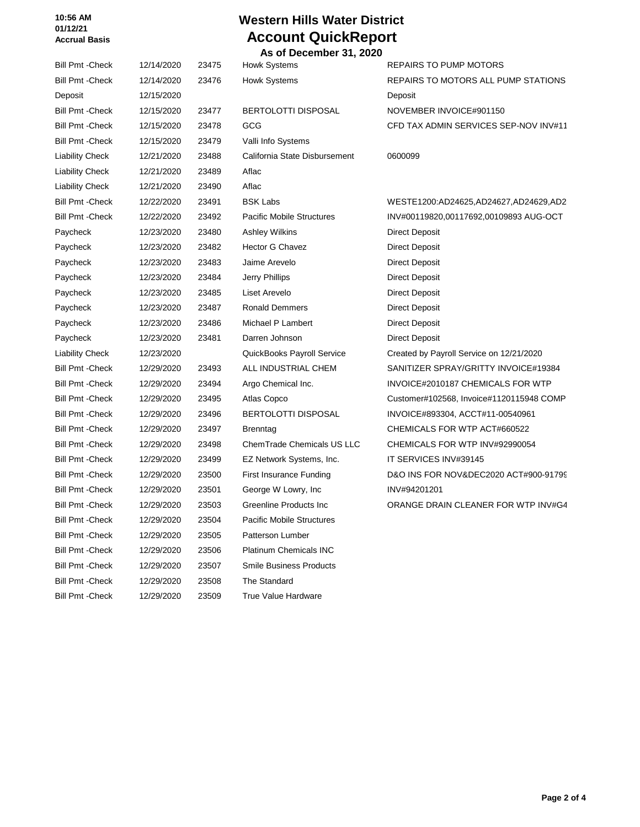#### **10:56 AM 01/12/21 Accrual Basis**

# **Western Hills Water District Account QuickReport**

 **As of December 31, 2020** Bill Pmt -Check 12/14/2020 23475 Howk Systems REPAIRS TO PUMP MOTORS Bill Pmt -Check 12/14/2020 23476 Howk Systems REPAIRS TO MOTORS ALL PUMP STATIONS Deposit 12/15/2020 **Deposit** Deposit **Deposit** Deposit Bill Pmt -Check 12/15/2020 23477 BERTOLOTTI DISPOSAL NOVEMBER INVOICE#901150 Bill Pmt -Check 12/15/2020 23478 GCG CFD TAX ADMIN SERVICES SEP-NOV INV#11 Bill Pmt -Check 12/15/2020 23479 Valli Info Systems Liability Check 12/21/2020 23488 California State Disbursement 0600099 Liability Check 12/21/2020 23489 Aflac Liability Check 12/21/2020 23490 Aflac Bill Pmt -Check 12/22/2020 23491 BSK Labs WESTE1200:AD24625,AD24627,AD24629,AD2 Bill Pmt -Check 12/22/2020 23492 Pacific Mobile Structures INV#00119820,00117692,00109893 AUG-OCT Paycheck 12/23/2020 23480 Ashley Wilkins Direct Deposit Paycheck 12/23/2020 23482 Hector G Chavez Direct Deposit Paycheck 12/23/2020 23483 Jaime Arevelo Direct Deposit Paycheck 12/23/2020 23484 Jerry Phillips **Direct Deposit** Paycheck 12/23/2020 23485 Liset Arevelo Direct Deposit Paycheck 12/23/2020 23487 Ronald Demmers Direct Deposit Paycheck 12/23/2020 23486 Michael P Lambert Direct Deposit Paycheck 12/23/2020 23481 Darren Johnson Direct Deposit Liability Check 12/23/2020 QuickBooks Payroll Service Created by Payroll Service on 12/21/2020 Bill Pmt -Check 12/29/2020 23493 ALL INDUSTRIAL CHEM SANITIZER SPRAY/GRITTY INVOICE#19384 Bill Pmt -Check 12/29/2020 23494 Argo Chemical Inc. INVOICE#2010187 CHEMICALS FOR WTP Bill Pmt -Check 12/29/2020 23495 Atlas Copco Customer#102568, Invoice#1120115948 COMP Bill Pmt -Check 12/29/2020 23496 BERTOLOTTI DISPOSAL INVOICE#893304, ACCT#11-00540961 Bill Pmt -Check 12/29/2020 23497 Brenntag CHEMICALS FOR WTP ACT#660522 Bill Pmt -Check 12/29/2020 23498 ChemTrade Chemicals US LLC CHEMICALS FOR WTP INV#92990054 Bill Pmt -Check 12/29/2020 23499 EZ Network Systems, Inc. IT SERVICES INV#39145 Bill Pmt -Check 12/29/2020 23500 First Insurance Funding D&O INS FOR NOV&DEC2020 ACT#900-91799 Bill Pmt -Check 12/29/2020 23501 George W Lowry, Inc INV#94201201 Bill Pmt -Check 12/29/2020 23503 Greenline Products Inc CRANGE DRAIN CLEANER FOR WTP INV#G4 Bill Pmt -Check 12/29/2020 23504 Pacific Mobile Structures Bill Pmt -Check 12/29/2020 23505 Patterson Lumber Bill Pmt -Check 12/29/2020 23506 Platinum Chemicals INC Bill Pmt -Check 12/29/2020 23507 Smile Business Products Bill Pmt -Check 12/29/2020 23508 The Standard

Bill Pmt -Check 12/29/2020 23509 True Value Hardware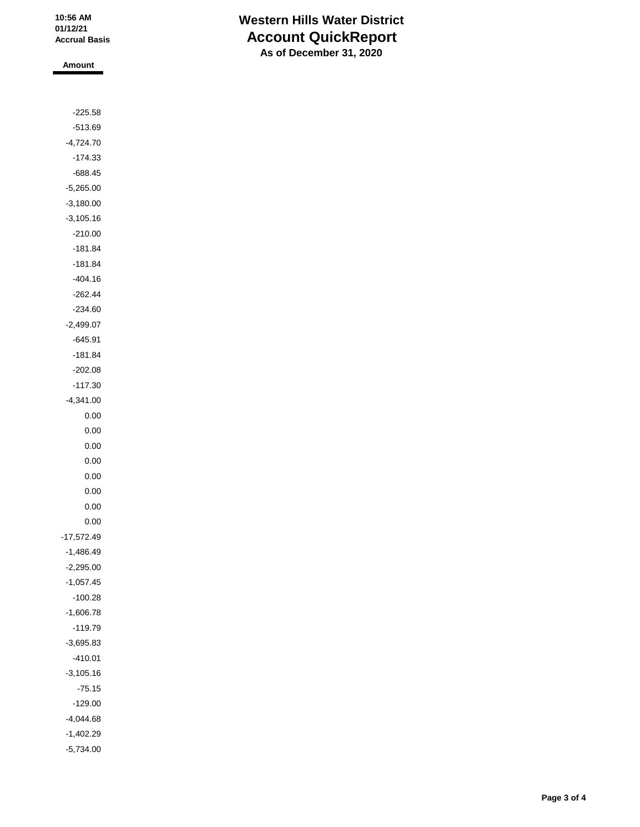### **Western Hills Water District Account QuickReport As of December 31, 2020**

**Amount**

| -225.58      |  |
|--------------|--|
| $-513.69$    |  |
| -4,724.70    |  |
| $-174.33$    |  |
| -688.45      |  |
| $-5,265.00$  |  |
| $-3,180.00$  |  |
| $-3,105.16$  |  |
| $-210.00$    |  |
| $-181.84$    |  |
| $-181.84$    |  |
| $-404.16$    |  |
| $-262.44$    |  |
| $-234.60$    |  |
| $-2,499.07$  |  |
| $-645.91$    |  |
| -181.84      |  |
| -202.08      |  |
| $-117.30$    |  |
| -4,341.00    |  |
| 0.00         |  |
| 0.00         |  |
| 0.00         |  |
| 0.00         |  |
| 0.00         |  |
| 0.00         |  |
| 0.00         |  |
| 0.00         |  |
| $-17,572.49$ |  |
| $-1,486.49$  |  |
| $-2,295.00$  |  |
| $-1,057.45$  |  |
| $-100.28$    |  |
| $-1,606.78$  |  |
| $-119.79$    |  |
| $-3,695.83$  |  |
| $-410.01$    |  |
| $-3,105.16$  |  |
| $-75.15$     |  |
| $-129.00$    |  |
| $-4,044.68$  |  |
| $-1,402.29$  |  |
| $-5,734.00$  |  |